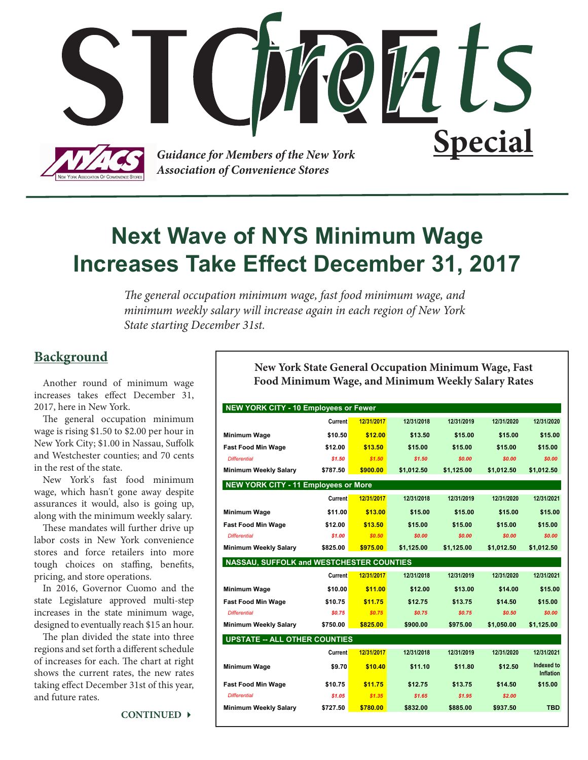

# **Next Wave of NYS Minimum Wage Increases Take Effect December 31, 2017**

*The general occupation minimum wage, fast food minimum wage, and minimum weekly salary will increase again in each region of New York State starting December 31st.*

### **Background**

Another round of minimum wage increases takes effect December 31, 2017, here in New York.

The general occupation minimum wage is rising \$1.50 to \$2.00 per hour in New York City; \$1.00 in Nassau, Suffolk and Westchester counties; and 70 cents in the rest of the state.

New York's fast food minimum wage, which hasn't gone away despite assurances it would, also is going up, along with the minimum weekly salary.

These mandates will further drive up labor costs in New York convenience stores and force retailers into more tough choices on staffing, benefits, pricing, and store operations.

In 2016, Governor Cuomo and the state Legislature approved multi-step increases in the state minimum wage, designed to eventually reach \$15 an hour.

The plan divided the state into three regions and set forth a different schedule of increases for each. The chart at right shows the current rates, the new rates taking effect December 31st of this year, and future rates.

**CONTINUED** 

**New York State General Occupation Minimum Wage, Fast Food Minimum Wage, and Minimum Weekly Salary Rates**

| NEW YORK CITY - 10 Employees or Fewer       |                |            |            |            |            |                                |
|---------------------------------------------|----------------|------------|------------|------------|------------|--------------------------------|
|                                             | <b>Current</b> | 12/31/2017 | 12/31/2018 | 12/31/2019 | 12/31/2020 | 12/31/2020                     |
| Minimum Wage                                | \$10.50        | \$12.00    | \$13.50    | \$15.00    | \$15.00    | \$15.00                        |
| <b>Fast Food Min Wage</b>                   | \$12.00        | \$13.50    | \$15.00    | \$15.00    | \$15.00    | \$15.00                        |
| <b>Differential</b>                         | \$1.50         | \$1.50     | \$1.50     | \$0.00     | \$0.00     | \$0.00                         |
| <b>Minimum Weekly Salary</b>                | \$787.50       | \$900.00   | \$1,012.50 | \$1,125.00 | \$1,012.50 | \$1,012.50                     |
| <b>NEW YORK CITY - 11 Employees or More</b> |                |            |            |            |            |                                |
|                                             | <b>Current</b> | 12/31/2017 | 12/31/2018 | 12/31/2019 | 12/31/2020 | 12/31/2021                     |
| Minimum Wage                                | \$11.00        | \$13.00    | \$15.00    | \$15.00    | \$15.00    | \$15.00                        |
| <b>Fast Food Min Wage</b>                   | \$12.00        | \$13.50    | \$15.00    | \$15.00    | \$15.00    | \$15.00                        |
| <b>Differential</b>                         | \$1.00         | \$0.50     | \$0.00     | \$0.00     | \$0.00     | \$0.00                         |
| <b>Minimum Weekly Salary</b>                | \$825.00       | \$975.00   | \$1,125.00 | \$1,125.00 | \$1,012.50 | \$1,012.50                     |
| NASSAU, SUFFOLK and WESTCHESTER COUNTIES    |                |            |            |            |            |                                |
|                                             | Current        | 12/31/2017 | 12/31/2018 | 12/31/2019 | 12/31/2020 | 12/31/2021                     |
| <b>Minimum Wage</b>                         | \$10.00        | \$11.00    | \$12.00    | \$13.00    | \$14.00    | \$15.00                        |
| <b>Fast Food Min Wage</b>                   | \$10.75        | \$11.75    | \$12.75    | \$13.75    | \$14.50    | \$15.00                        |
| <b>Differential</b>                         | \$0.75         | \$0.75     | \$0.75     | \$0.75     | \$0.50     | \$0.00                         |
| <b>Minimum Weekly Salary</b>                | \$750.00       | \$825.00   | \$900.00   | \$975.00   | \$1,050.00 | \$1,125.00                     |
| <b>UPSTATE -- ALL OTHER COUNTIES</b>        |                |            |            |            |            |                                |
|                                             | <b>Current</b> | 12/31/2017 | 12/31/2018 | 12/31/2019 | 12/31/2020 | 12/31/2021                     |
| Minimum Wage                                | \$9.70         | \$10.40    | \$11.10    | \$11.80    | \$12.50    | Indexed to<br><b>Inflation</b> |
| <b>Fast Food Min Wage</b>                   | \$10.75        | \$11.75    | \$12.75    | \$13.75    | \$14.50    | \$15.00                        |
| <b>Differential</b>                         | \$1.05         | \$1.35     | \$1.65     | \$1.95     | \$2.00     |                                |
| <b>Minimum Weekly Salary</b>                | \$727.50       | \$780.00   | \$832.00   | \$885.00   | \$937.50   | <b>TBD</b>                     |
|                                             |                |            |            |            |            |                                |